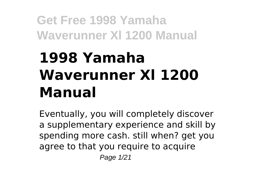# **1998 Yamaha Waverunner Xl 1200 Manual**

Eventually, you will completely discover a supplementary experience and skill by spending more cash. still when? get you agree to that you require to acquire Page 1/21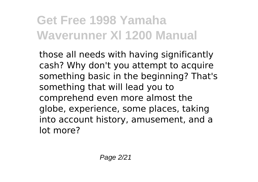those all needs with having significantly cash? Why don't you attempt to acquire something basic in the beginning? That's something that will lead you to comprehend even more almost the globe, experience, some places, taking into account history, amusement, and a lot more?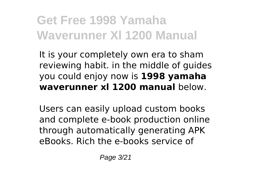It is your completely own era to sham reviewing habit. in the middle of guides you could enjoy now is **1998 yamaha waverunner xl 1200 manual** below.

Users can easily upload custom books and complete e-book production online through automatically generating APK eBooks. Rich the e-books service of

Page 3/21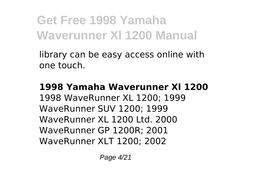library can be easy access online with one touch.

### **1998 Yamaha Waverunner Xl 1200** 1998 WaveRunner XL 1200; 1999 WaveRunner SUV 1200; 1999 WaveRunner XL 1200 Ltd. 2000 WaveRunner GP 1200R; 2001 WaveRunner XLT 1200; 2002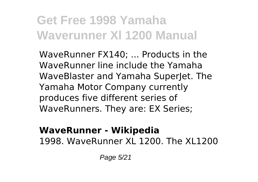WaveRunner FX140; ... Products in the WaveRunner line include the Yamaha WaveBlaster and Yamaha SuperJet. The Yamaha Motor Company currently produces five different series of WaveRunners. They are: EX Series;

### **WaveRunner - Wikipedia** 1998. WaveRunner XL 1200. The XL1200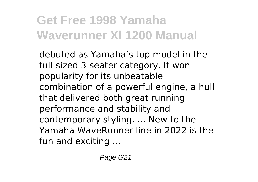debuted as Yamaha's top model in the full-sized 3-seater category. It won popularity for its unbeatable combination of a powerful engine, a hull that delivered both great running performance and stability and contemporary styling. ... New to the Yamaha WaveRunner line in 2022 is the fun and exciting ...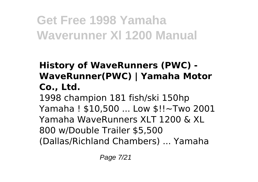### **History of WaveRunners (PWC) - WaveRunner(PWC) | Yamaha Motor Co., Ltd.**

1998 champion 181 fish/ski 150hp Yamaha ! \$10,500 ... Low \$!!~Two 2001 Yamaha WaveRunners XLT 1200 & XL 800 w/Double Trailer \$5,500 (Dallas/Richland Chambers) ... Yamaha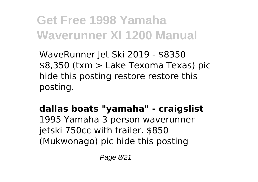WaveRunner Jet Ski 2019 - \$8350 \$8,350 (txm > Lake Texoma Texas) pic hide this posting restore restore this posting.

### **dallas boats "yamaha" - craigslist**

1995 Yamaha 3 person waverunner jetski 750cc with trailer. \$850 (Mukwonago) pic hide this posting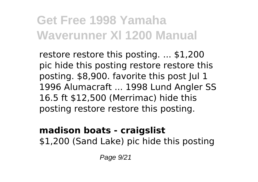restore restore this posting. ... \$1,200 pic hide this posting restore restore this posting. \$8,900. favorite this post Jul 1 1996 Alumacraft ... 1998 Lund Angler SS 16.5 ft \$12,500 (Merrimac) hide this posting restore restore this posting.

### **madison boats - craigslist** \$1,200 (Sand Lake) pic hide this posting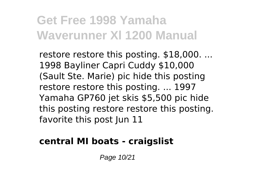restore restore this posting. \$18,000. ... 1998 Bayliner Capri Cuddy \$10,000 (Sault Ste. Marie) pic hide this posting restore restore this posting. ... 1997 Yamaha GP760 jet skis \$5,500 pic hide this posting restore restore this posting. favorite this post Jun 11

### **central MI boats - craigslist**

Page 10/21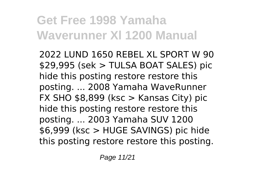2022 LUND 1650 REBEL XL SPORT W 90 \$29,995 (sek > TULSA BOAT SALES) pic hide this posting restore restore this posting. ... 2008 Yamaha WaveRunner FX SHO  $$8,899$  (ksc  $>$  Kansas City) pic hide this posting restore restore this posting. ... 2003 Yamaha SUV 1200 \$6,999 (ksc > HUGE SAVINGS) pic hide this posting restore restore this posting.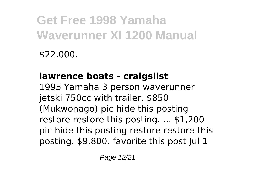\$22,000.

### **lawrence boats - craigslist**

1995 Yamaha 3 person waverunner jetski 750cc with trailer. \$850 (Mukwonago) pic hide this posting restore restore this posting. ... \$1,200 pic hide this posting restore restore this posting. \$9,800. favorite this post Jul 1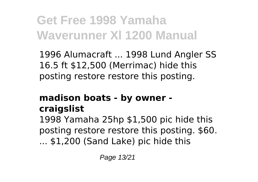1996 Alumacraft ... 1998 Lund Angler SS 16.5 ft \$12,500 (Merrimac) hide this posting restore restore this posting.

### **madison boats - by owner craigslist**

1998 Yamaha 25hp \$1,500 pic hide this posting restore restore this posting. \$60. ... \$1,200 (Sand Lake) pic hide this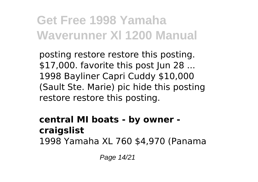posting restore restore this posting. \$17,000. favorite this post Jun 28 ... 1998 Bayliner Capri Cuddy \$10,000 (Sault Ste. Marie) pic hide this posting restore restore this posting.

#### **central MI boats - by owner craigslist** 1998 Yamaha XL 760 \$4,970 (Panama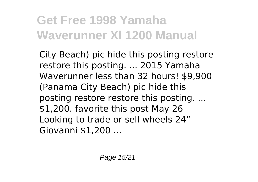City Beach) pic hide this posting restore restore this posting. ... 2015 Yamaha Waverunner less than 32 hours! \$9,900 (Panama City Beach) pic hide this posting restore restore this posting. ... \$1,200. favorite this post May 26 Looking to trade or sell wheels 24" Giovanni \$1,200 ...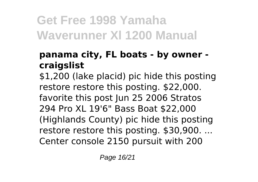### **panama city, FL boats - by owner craigslist**

\$1,200 (lake placid) pic hide this posting restore restore this posting. \$22,000. favorite this post Jun 25 2006 Stratos 294 Pro XL 19'6" Bass Boat \$22,000 (Highlands County) pic hide this posting restore restore this posting. \$30,900. ... Center console 2150 pursuit with 200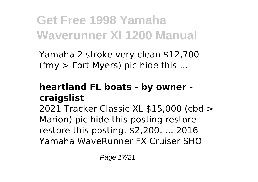Yamaha 2 stroke very clean \$12,700 (fmy > Fort Myers) pic hide this ...

### **heartland FL boats - by owner craigslist**

2021 Tracker Classic XL \$15,000 (cbd > Marion) pic hide this posting restore restore this posting. \$2,200. ... 2016 Yamaha WaveRunner FX Cruiser SHO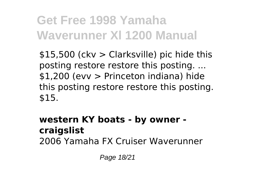\$15,500 (ckv > Clarksville) pic hide this posting restore restore this posting. ... \$1,200 (evv > Princeton indiana) hide this posting restore restore this posting. \$15.

### **western KY boats - by owner craigslist** 2006 Yamaha FX Cruiser Waverunner

Page 18/21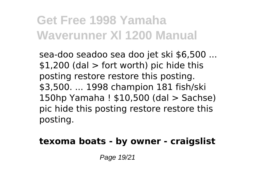sea-doo seadoo sea doo jet ski \$6,500 ...  $$1,200$  (dal  $>$  fort worth) pic hide this posting restore restore this posting. \$3,500. ... 1998 champion 181 fish/ski 150hp Yamaha ! \$10,500 (dal > Sachse) pic hide this posting restore restore this posting.

### **texoma boats - by owner - craigslist**

Page 19/21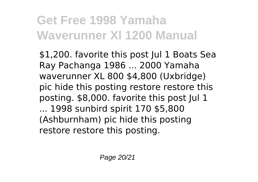\$1,200. favorite this post Jul 1 Boats Sea Ray Pachanga 1986 ... 2000 Yamaha waverunner XL 800 \$4,800 (Uxbridge) pic hide this posting restore restore this posting. \$8,000. favorite this post Jul 1 ... 1998 sunbird spirit 170 \$5,800 (Ashburnham) pic hide this posting restore restore this posting.